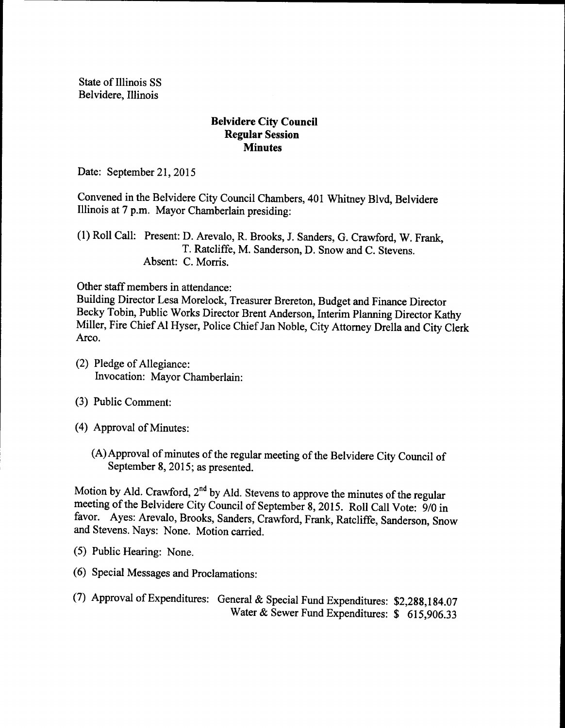State of Illinois SS Belvidere, Illinois

## Belvidere City Council Regular Session **Minutes**

Date: September 21, 2015

Convened in the Belvidere City Council Chambers, 401 Whitney Blvd, Belvidere Illinois at 7 p.m. Mayor Chamberlain presiding:

1) Roll Call: Present: D. Arevalo, R. Brooks, J. Sanders, G. Crawford, W. Frank, T. Ratcliffe, M. Sanderson, D. Snow and C. Stevens. Absent: C. Morris.

Other staff members in attendance:

Building Director Lesa Morelock, Treasurer Brereton, Budget and Finance Director Becky Tobin, Public Works Director Brent Anderson, Interim Planning Director Kathy Miller, Fire Chief Al Hyser, Police Chief Jan Noble, City Attorney Drella and City Clerk Arco.

- (2) Pledge of Allegiance: Invocation: Mayor Chamberlain:
- 3) Public Comment:
- (4) Approval of Minutes:
	- (A) Approval of minutes of the regular meeting of the Belvidere City Council of September 8, 2015; as presented.

Motion by Ald. Crawford, 2<sup>nd</sup> by Ald. Stevens to approve the minutes of the regular meeting of the Belvidere City Council of September 8, 2015. Roll Call Vote: 9/0 in favor. Ayes: Arevalo, Brooks, Sanders, Crawford, Frank, Ratcliffe, Sanderson, Snow and Stevens. Nays: None. Motion carried.

- 5) Public Hearing: None.
- 6) Special Messages and Proclamations:
- (7) Approval of Expenditures: General & Special Fund Expenditures: \$2,288,184.07 Water & Sewer Fund Expenditures: \$ 615,906.33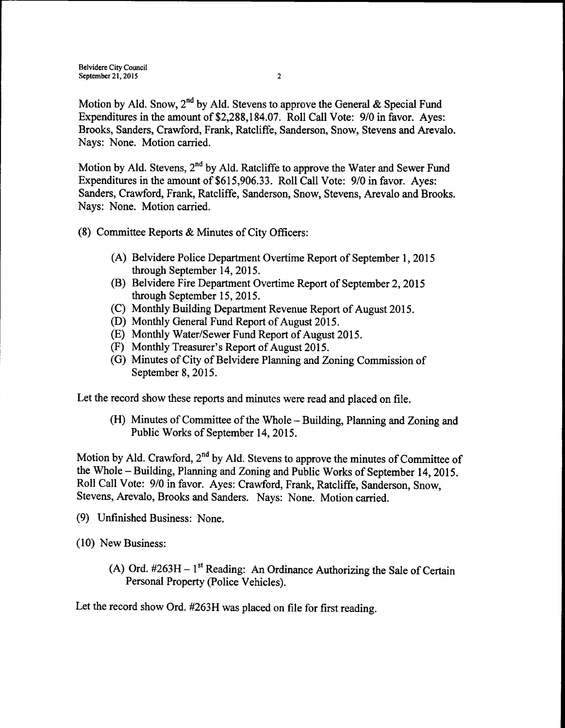Belvidere City Council September 21, 2015 2

Motion by Ald. Snow, 2<sup>nd</sup> by Ald. Stevens to approve the General & Special Fund Expenditures in the amount of \$2,288, 184.07. Roll Call Vote: 9/0 in favor. Ayes: Brooks, Sanders, Crawford, Frank, Ratcliffe, Sanderson, Snow, Stevens and Arevalo. Nays: None. Motion carried.

Motion by Ald. Stevens, 2<sup>nd</sup> by Ald. Ratcliffe to approve the Water and Sewer Fund Expenditures in the amount of \$615,906.33. Roll Call Vote: 9/0 in favor. Ayes: Sanders, Crawford, Frank, Ratcliffe, Sanderson, Snow, Stevens, Arevalo and Brooks. Nays: None. Motion carried.

- 8) Committee Reports & Minutes of City Officers:
	- A) Belvidere Police Department Overtime Report of September 1, 2015 through September 14, 2015.
	- B) Belvidere Fire Department Overtime Report of September 2, 2015 through September 15, 2015.
	- (C) Monthly Building Department Revenue Report of August 2015.
	- (D) Monthly General Fund Report of August 2015.
	- E) Monthly Water/Sewer Fund Report of August 2015.
	- (F) Monthly Treasurer's Report of August 2015.
	- (G) Minutes of City of Belvidere Planning and Zoning Commission of September 8, 2015.

Let the record show these reports and minutes were read and placed on file.

(H) Minutes of Committee of the Whole – Building, Planning and Zoning and Public Works of September 14, 2015.

Motion by Ald. Crawford,  $2<sup>nd</sup>$  by Ald. Stevens to approve the minutes of Committee of the Whole—Building, Planning and Zoning and Public Works of September 14, 2015. Roll Call Vote: 9/0 in favor. Ayes: Crawford, Frank, Ratcliffe, Sanderson, Snow, Stevens, Arevalo, Brooks and Sanders. Nays: None. Motion carried.

- 9) Unfinished Business: None.
- 10) New Business:
	- A) Ord.  $\#263H 1$ <sup>st</sup> Reading: An Ordinance Authorizing the Sale of Certain Personal Property (Police Vehicles).

Let the record show Ord. #263H was placed on file for first reading.